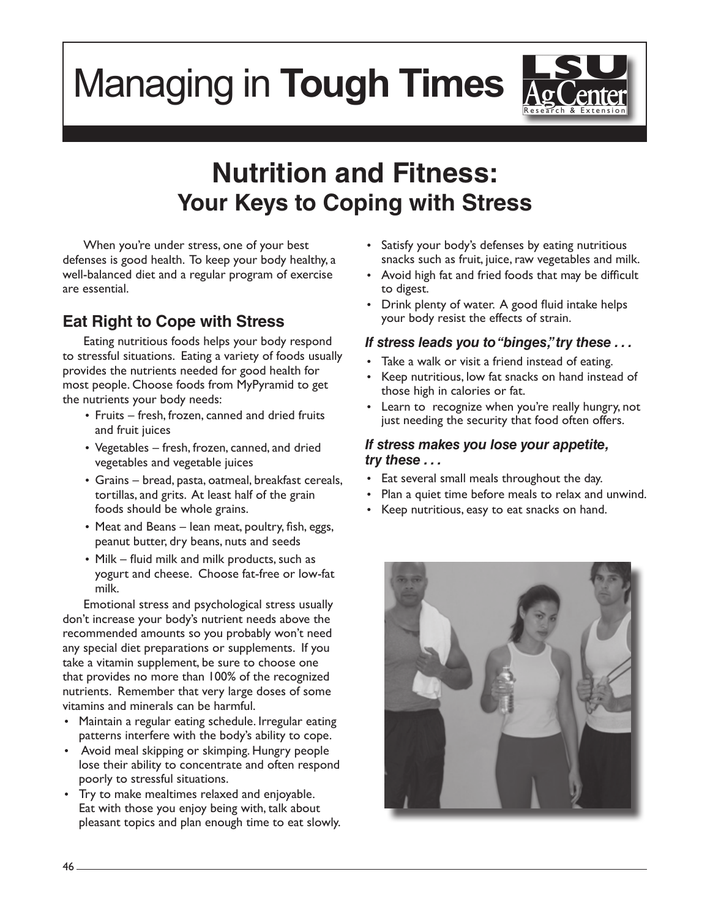# Managing in **Tough Times**



# **Nutrition and Fitness: Your Keys to Coping with Stress**

When you're under stress, one of your best defenses is good health. To keep your body healthy, a well-balanced diet and a regular program of exercise are essential.

# **Eat Right to Cope with Stress**

Eating nutritious foods helps your body respond to stressful situations. Eating a variety of foods usually provides the nutrients needed for good health for most people. Choose foods from MyPyramid to get the nutrients your body needs:

- Fruits fresh, frozen, canned and dried fruits and fruit juices
- • Vegetables fresh, frozen, canned, and dried vegetables and vegetable juices
- • Grains bread, pasta, oatmeal, breakfast cereals, tortillas, and grits. At least half of the grain foods should be whole grains.
- Meat and Beans lean meat, poultry, fish, eggs, peanut butter, dry beans, nuts and seeds
- Milk fluid milk and milk products, such as yogurt and cheese. Choose fat-free or low-fat milk.

Emotional stress and psychological stress usually don't increase your body's nutrient needs above the recommended amounts so you probably won't need any special diet preparations or supplements. If you take a vitamin supplement, be sure to choose one that provides no more than 100% of the recognized nutrients. Remember that very large doses of some vitamins and minerals can be harmful.

- Maintain a regular eating schedule. Irregular eating patterns interfere with the body's ability to cope.
- • Avoid meal skipping or skimping. Hungry people lose their ability to concentrate and often respond poorly to stressful situations.
- Try to make mealtimes relaxed and enjoyable. Eat with those you enjoy being with, talk about pleasant topics and plan enough time to eat slowly.
- • Satisfy your body's defenses by eating nutritious snacks such as fruit, juice, raw vegetables and milk.
- Avoid high fat and fried foods that may be difficult to digest.
- Drink plenty of water. A good fluid intake helps your body resist the effects of strain.

#### *If stress leads you to "binges," try these . . .*

- Take a walk or visit a friend instead of eating.
- Keep nutritious, low fat snacks on hand instead of those high in calories or fat.
- Learn to recognize when you're really hungry, not just needing the security that food often offers.

#### *If stress makes you lose your appetite, try these . . .*

- Eat several small meals throughout the day.
- Plan a quiet time before meals to relax and unwind.
- Keep nutritious, easy to eat snacks on hand.